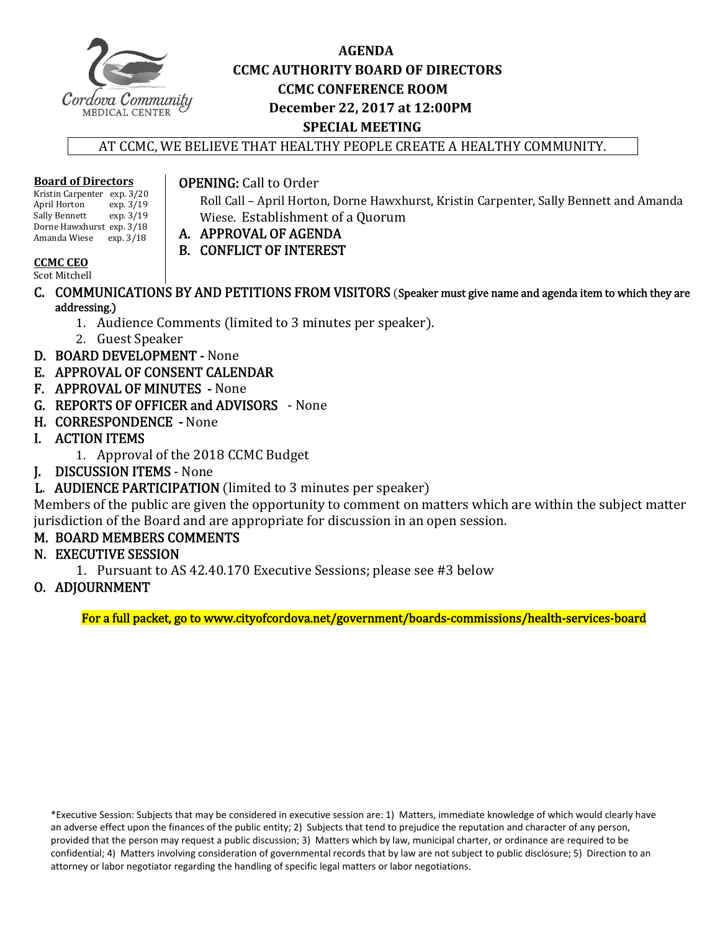

## **AGENDA CCMC AUTHORITY BOARD OF DIRECTORS CCMC CONFERENCE ROOM December 22, 2017 at 12:00PM SPECIAL MEETING**

AT CCMC, WE BELIEVE THAT HEALTHY PEOPLE CREATE A HEALTHY COMMUNITY.

#### **Board of Directors**

Kristin Carpenter exp. 3/20<br>April Horton exp. 3/19 April Horton exp. 3/19<br>Sally Bennett exp. 3/19 Sally Bennett Dorne Hawxhurst exp. 3/18 Amanda Wiese exp. 3/18

## **OPENING:** Call to Order

Roll Call - April Horton, Dorne Hawxhurst, Kristin Carpenter, Sally Bennett and Amanda Wiese. Establishment of a Quorum

- A. APPROVAL OF AGENDA
	- B. CONFLICT OF INTEREST

## **CCMC CEO**

Scot Mitchell

- C. COMMUNICATIONS BY AND PETITIONS FROM VISITORS (Speaker must give name and agenda item to which they are addressing.)
	- 1. Audience Comments (limited to 3 minutes per speaker).
	- 2. Guest Speaker
- D. BOARD DEVELOPMENT None
- E. APPROVAL OF CONSENT CALENDAR
- F. APPROVAL OF MINUTES None
- G. REPORTS OF OFFICER and ADVISORS None
- H. CORRESPONDENCE None
- I. ACTION ITEMS
	- 1. Approval of the 2018 CCMC Budget
- **J. DISCUSSION ITEMS** None
- L. AUDIENCE PARTICIPATION (limited to 3 minutes per speaker)

Members of the public are given the opportunity to comment on matters which are within the subject matter jurisdiction of the Board and are appropriate for discussion in an open session.

## M. BOARD MEMBERS COMMENTS

- N. EXECUTIVE SESSION
	- 1. Pursuant to AS 42.40.170 Executive Sessions; please see #3 below

## O. ADJOURNMENT

For a full packet, go to www.cityofcordova.net/government/boards-commissions/health-services-board

\*Executive Session: Subjects that may be considered in executive session are: 1) Matters, immediate knowledge of which would clearly have an adverse effect upon the finances of the public entity; 2) Subjects that tend to prejudice the reputation and character of any person, provided that the person may request a public discussion; 3) Matters which by law, municipal charter, or ordinance are required to be confidential; 4) Matters involving consideration of governmental records that by law are not subject to public disclosure; 5) Direction to an attorney or labor negotiator regarding the handling of specific legal matters or labor negotiations.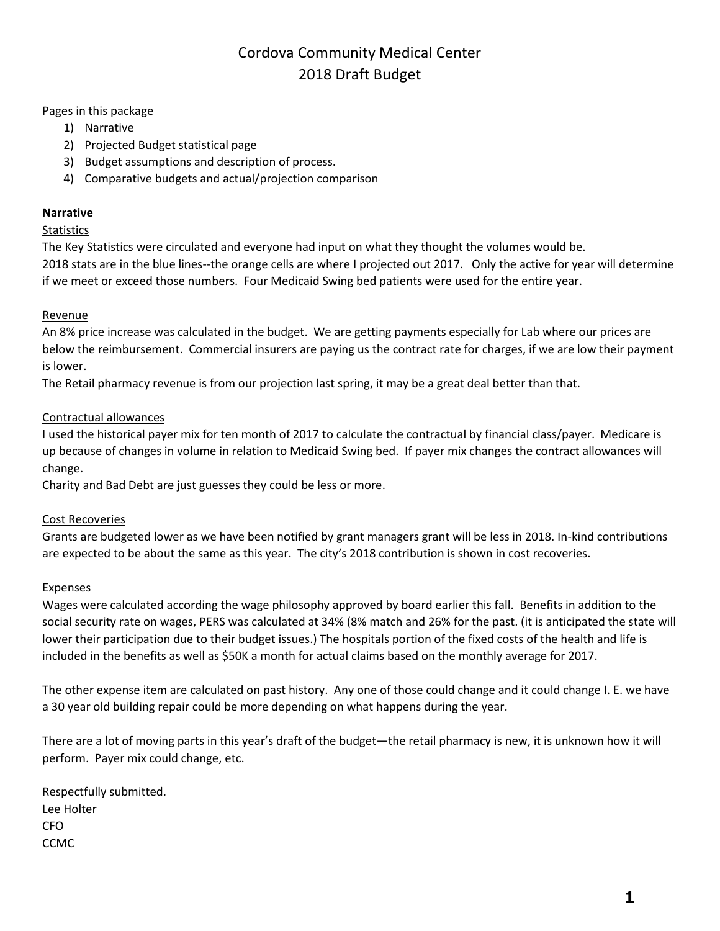# Cordova Community Medical Center 2018 Draft Budget

Pages in this package

- 1) Narrative
- 2) Projected Budget statistical page
- 3) Budget assumptions and description of process.
- 4) Comparative budgets and actual/projection comparison

#### **Narrative**

#### **Statistics**

The Key Statistics were circulated and everyone had input on what they thought the volumes would be.

2018 stats are in the blue lines--the orange cells are where I projected out 2017. Only the active for year will determine if we meet or exceed those numbers. Four Medicaid Swing bed patients were used for the entire year.

#### Revenue

An 8% price increase was calculated in the budget. We are getting payments especially for Lab where our prices are below the reimbursement. Commercial insurers are paying us the contract rate for charges, if we are low their payment is lower.

The Retail pharmacy revenue is from our projection last spring, it may be a great deal better than that.

#### Contractual allowances

I used the historical payer mix for ten month of 2017 to calculate the contractual by financial class/payer. Medicare is up because of changes in volume in relation to Medicaid Swing bed. If payer mix changes the contract allowances will change.

Charity and Bad Debt are just guesses they could be less or more.

#### Cost Recoveries

Grants are budgeted lower as we have been notified by grant managers grant will be less in 2018. In-kind contributions are expected to be about the same as this year. The city's 2018 contribution is shown in cost recoveries.

#### Expenses

Wages were calculated according the wage philosophy approved by board earlier this fall. Benefits in addition to the social security rate on wages, PERS was calculated at 34% (8% match and 26% for the past. (it is anticipated the state will lower their participation due to their budget issues.) The hospitals portion of the fixed costs of the health and life is included in the benefits as well as \$50K a month for actual claims based on the monthly average for 2017.

The other expense item are calculated on past history. Any one of those could change and it could change I. E. we have a 30 year old building repair could be more depending on what happens during the year.

There are a lot of moving parts in this year's draft of the budget—the retail pharmacy is new, it is unknown how it will perform. Payer mix could change, etc.

Respectfully submitted. Lee Holter CFO CCMC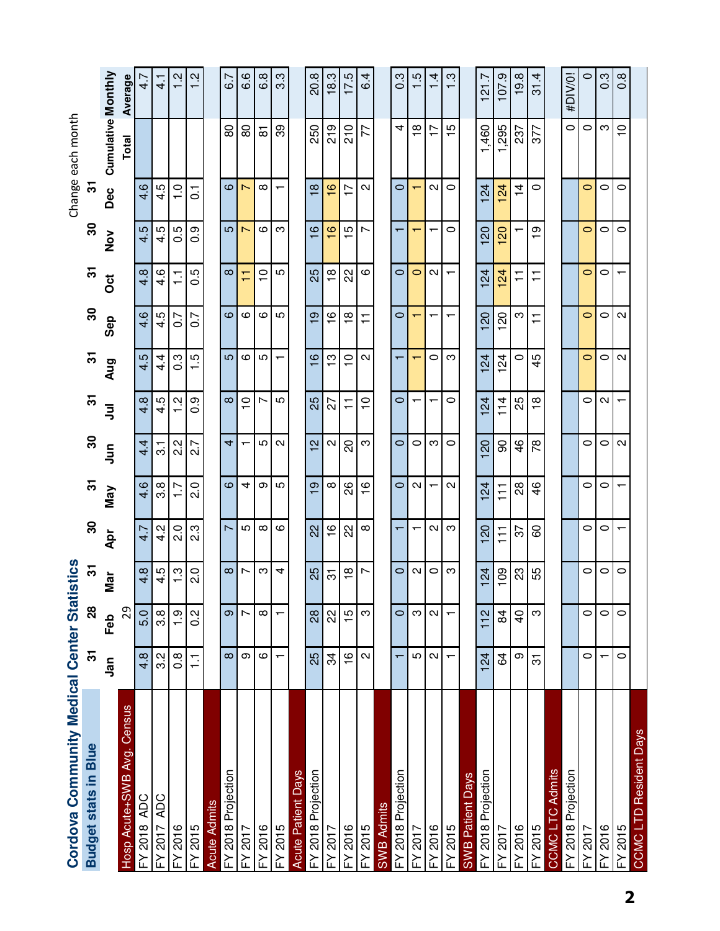| Cordova Community Medical Center Stati |                   |                | stics           |                          |                   |                           |                           |                   |                         |                          |                          |                          | Change each month                |                  |
|----------------------------------------|-------------------|----------------|-----------------|--------------------------|-------------------|---------------------------|---------------------------|-------------------|-------------------------|--------------------------|--------------------------|--------------------------|----------------------------------|------------------|
| <b>Budget stats in Blue</b>            | స్                | <u>ន</u>       | 5               | $\boldsymbol{S}$         | 5                 | 8                         | 5                         | 5                 | ႙ၟ                      | 5                        | 80                       | స్                       |                                  |                  |
|                                        | <u>ក្ខិ</u>       | Feb            | Mar             | Apr                      | Nay               | $\overline{5}$            | ミ                         | Aug               | Sep                     | ö                        | $\frac{5}{2}$            | Dec                      | <b>Cumulative Monthly</b>        |                  |
| Census<br>Hosp Acute+SWB Avg.          |                   | 29             |                 |                          |                   |                           |                           |                   |                         |                          |                          |                          | Total                            | Average          |
| <b>FY 2018 ADC</b>                     | $4.\overline{8}$  | 5.0            | 4.8             | 4.7                      | 4.6               | 4.4                       | 4.8                       | 4.5               | 4.6                     | 4.8                      | 4.5                      | 4.6                      |                                  | $\frac{1}{4}$    |
| <b>ADC</b><br>7102<br>≿                | 3.2               | 3.8            | 4.5             | 4.2                      | 3.8               | $\overline{\mathfrak{S}}$ | 4.5                       | 4.<br>4           | 4.5                     | 4.6                      | 4.5                      | 4.5                      |                                  | $\frac{1}{4}$    |
| FY 2016                                | $\frac{8}{2}$     | $\frac{0}{1}$  | $\frac{3}{1}$   | $\frac{0}{2}$            | $\overline{1}$ .  | $\frac{2}{3}$             | Ņ<br>$\blacksquare$       | $\frac{3}{2}$     | 0.7                     | H                        | 0.5                      | $\frac{0}{1}$            |                                  | $\frac{2}{1}$    |
| FY 2015                                | Ξ                 | $\frac{2}{3}$  | $\frac{0}{2}$   | ვ.<br>2                  | $\frac{0}{2}$     | $\frac{7}{2}$             | တ<br>0                    | c.                | $\overline{0}$          | r.<br>0                  | $\frac{9}{2}$            | $\overline{\circ}$       |                                  | Ņ                |
| <b>Acute Admits</b>                    |                   |                |                 |                          |                   |                           |                           |                   |                         |                          |                          |                          |                                  |                  |
| FY 2018 Projection                     | $\infty$          | စာ             | $\infty$        | $\overline{\phantom{0}}$ | $\circ$           | 4                         | $\infty$                  | <b>LO</b>         | $\circ$                 | $\infty$                 | <b>LO</b>                | ဖ                        | 80                               | 6.7              |
| FY 2017                                | တ                 | Ľ              | ∼               | Ю                        | 4                 | ┯                         | $\circ$<br>$\blacksquare$ | ဖ                 | ဖ                       | $\mathbf -$<br>G         | $\overline{\phantom{0}}$ | $\overline{\phantom{0}}$ | 80                               | 6.6              |
| FY 2016                                | ဖ                 | $^\infty$      | က               | $\infty$                 | თ                 | 5                         | Ņ                         | 5                 | ဖ                       | $\frac{1}{1}$            | ဖ                        | $\infty$                 | $\overline{\infty}$              | $6.\overline{8}$ |
| FY 2015                                | ┯                 | ┯              | 4               | ဖ                        | 5                 | $\mathbf{\Omega}$         | 5                         | $\blacksquare$    | LO                      | 5                        | က                        | ┯                        | တ္တ                              | 3.3              |
| <b>Days</b><br><b>Acute Patient</b>    |                   |                |                 |                          |                   |                           |                           |                   |                         |                          |                          |                          |                                  |                  |
| FY 2018 Projection                     | 25                | 28             | 25              | 22                       | တ                 | $\mathbf{\Omega}$         | 25                        | $\frac{6}{1}$     | <u>ဝှ</u>               | 25                       | $\circ$                  | $\infty$                 | 250                              | 20.8             |
| FY 2017                                | 34                | 22             | ᢛ               | $\frac{6}{1}$            | $\infty$          | $\mathbf{\Omega}$         | 27                        | ဗ္                | $\frac{8}{1}$           | $\frac{\infty}{1}$       | $\frac{6}{1}$            | $\frac{8}{1}$            | 219                              | 18.3             |
| <b>FY 2016</b>                         | $\frac{6}{1}$     | $\frac{15}{1}$ | $\frac{8}{1}$   | 22                       | 88                | 8                         | $\overline{+}$            | $\frac{0}{1}$     | $\frac{\infty}{\infty}$ | 22                       | 15                       | 17                       | 210                              | 17.5             |
| FY 2015                                | $\mathbf{\Omega}$ | က              | $\overline{ }$  | $\infty$                 | $\frac{6}{1}$     | က                         | $\overline{C}$            | $\sim$            | Ξ                       | $\circ$                  | Z                        | $\sim$                   | 77                               | 4<br>ق           |
| SWB Admits                             |                   |                |                 |                          |                   |                           |                           |                   |                         |                          |                          |                          |                                  |                  |
| FY 2018 Projection                     | ᠇                 | $\circ$        | $\circ$         |                          | $\circ$           | $\circ$                   | $\circ$                   |                   | $\circ$                 | $\circ$                  |                          | $\circ$                  | 4                                | $0.\overline{3}$ |
| FY 2017                                | rU                | ω              | $\mathbf{C}$    | ↽                        | Ν                 | 0                         | ᠇                         | ↽                 |                         | 0                        | ┯                        | ┯                        | $\frac{8}{1}$                    | 1.5              |
| 2016<br>≿                              | $\mathbf{\Omega}$ | $\mathbf{N}$   | $\circ$         | $\sim$                   |                   | ო                         | ┯                         | $\circ$           | ┯                       | $\sim$                   | $\blacksquare$           | $\sim$                   | $\blacksquare$                   | 4                |
| FY 2015                                | $\blacksquare$    | $\blacksquare$ | S               | က                        | $\mathbf{\Omega}$ | $\circ$                   | $\circ$                   | က                 | ┯                       | $\overline{\phantom{0}}$ | 0                        | $\circ$                  | 5                                | ς.               |
| <b>SWB Patient Days</b>                |                   |                |                 |                          |                   |                           |                           |                   |                         |                          |                          |                          |                                  |                  |
| FY 2018 Projection                     | 124               | 112            | $\overline{24}$ | $\overline{c}$           | $\overline{24}$   | $\Omega$                  | $^{24}$                   | $^{24}$           | $\infty$                | $^{24}$                  | $\Omega$                 | $\overline{24}$          | ,460                             | 21.7             |
| FY 2017                                | 64                | $\overline{8}$ | 109             | $\overline{11}$          | 111               | 8                         | 114                       | 124               | 120                     | 124                      | 8                        | $\overline{c}$           | ,295<br>$\overline{\phantom{0}}$ | 107.9            |
| FY 2016                                | თ                 | $\overline{6}$ | ಔ               | 22                       | 88                | $\frac{6}{4}$             | 25                        | 0                 | ო                       | ∓                        |                          | $\dot{4}$                | 237                              | 19.8             |
| FY 2015                                | 5                 | က              | 55              | 80                       | $\frac{6}{4}$     | $\approx$                 | $\frac{8}{1}$             | 45                | ∓                       | $\overline{1}$           | စ္                       | 0                        | 377                              | 4.<br><u>रू</u>  |
| Admits<br>CCMC <sub>LTC</sub>          |                   |                |                 |                          |                   |                           |                           |                   |                         |                          |                          |                          |                                  |                  |
| FY 2018 Projection                     |                   |                |                 |                          |                   |                           |                           |                   |                         |                          |                          |                          | $\circ$                          | #DIV/0!          |
| 70017<br>≿                             | 0                 | 0              | 0               | $\circ$                  | $\circ$           | $\circ$                   | 0                         | $\circ$           | $\circ$                 | $\circ$                  | $\circ$                  | 0                        | $\circ$                          | $\circ$          |
| FY 2016                                |                   | $\circ$        | 0               | $\circ$                  | $\circ$           | $\circ$                   | $\sim$                    | 0                 | 0                       | 0                        | 0                        | 0                        | က                                | $0.\overline{3}$ |
| FY 2015                                | 0                 | $\circ$        | 0               |                          |                   | $\sim$                    |                           | $\mathbf{\Omega}$ | $\mathbf{\Omega}$       |                          | 0                        | 0                        | $\circ$                          | $0.\overline{8}$ |
| CCMC LTD Resident Days                 |                   |                |                 |                          |                   |                           |                           |                   |                         |                          |                          |                          |                                  |                  |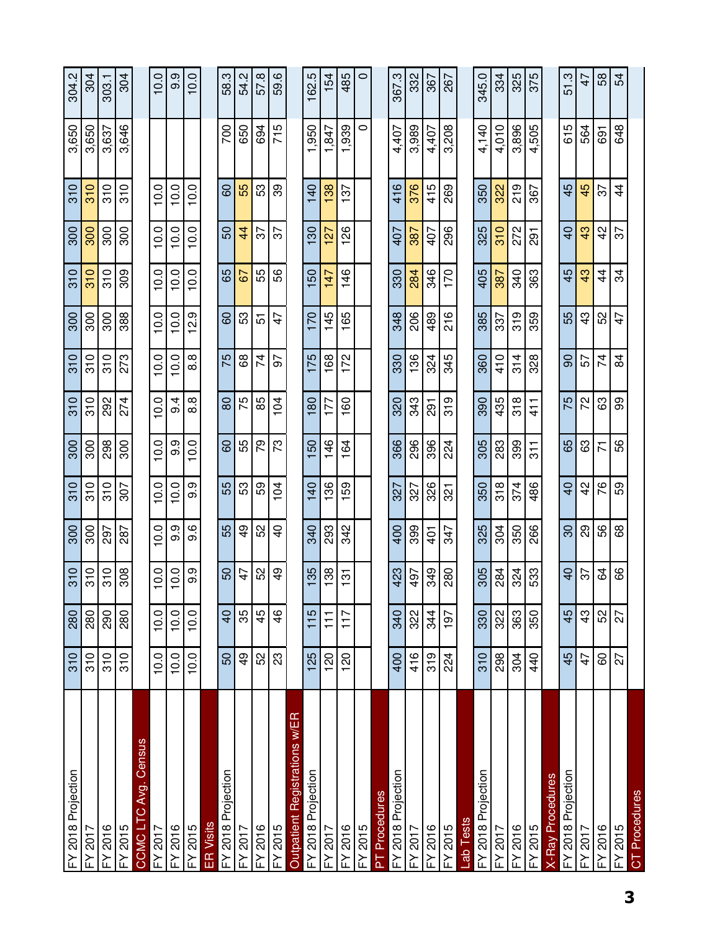| FY 2018 Projection                    | 310              | 280             | 310            |                 | 310                            | $\overline{\frac{300}{}}$ | 310    | 310            |                 | 310           | $\overline{\frac{300}{500}}$ | $\overline{310}$ | 3,650 | 304.2         |
|---------------------------------------|------------------|-----------------|----------------|-----------------|--------------------------------|---------------------------|--------|----------------|-----------------|---------------|------------------------------|------------------|-------|---------------|
| FY 2017                               | 310              | 280             | 310            | 300             | 310                            | 300                       | 310    | 310            | 300             | 310           | 300                          | 310              | 3,650 | 304           |
| FY 2016                               | 310              | 290             | 310            | 297             | $\frac{0}{3}$                  | 298                       | 292    | 310            | 300             | 310           | 300                          | 310              | 3,637 | 303.1         |
| FY 2015                               | 310              | 280             | 308            | 287             | 307                            | 300                       | 274    | 273            | 388             | 309           | 300                          | 310              | 3,646 | 304           |
| Census<br>Avg.<br>CCMC <sub>LTC</sub> |                  |                 |                |                 |                                |                           |        |                |                 |               |                              |                  |       |               |
| FY 2017                               | 10.0             | 10.0            | 10.0           | 10.0            | 10.0                           | 10.0                      | 10.0   | 10.0           | 10.0            | 10.0          | 10.0                         | 10.0             |       | 10.0          |
| FY 2016                               | 10.0             | 10.0            | 10.0           | 9.9             | 10.0                           | 9.9                       | 4<br>တ | 10.0           | 10.0            | 10.0          | 10.0                         | 10.0             |       | 9.9           |
| FY 2015                               | 10.0             | 10.0            | 9.9            | 9.6             | 9.9                            | 10.0                      | 8.8    | $\infty$<br>ထံ | တ့<br>은         | 10.0          | 10.0                         | 10.0             |       | 10.0          |
| ER Visits                             |                  |                 |                |                 |                                |                           |        |                |                 |               |                              |                  |       |               |
| FY 2018 Projection                    | 50               | $\overline{4}$  | 50             | 55              | 55                             | 8                         | 80     | 75             | 8               | 65            | 50                           | 8                | 700   | 58.3          |
| FY 2017                               | $\frac{9}{4}$    | 35              | ᡇ              | 9               | 53                             | 55                        | 75     | 89             | င္မွာ           | 5             | $\overline{4}$               | 55               | 650   | 54.2          |
| FY 2016                               | 52               | 45              | 52             | 52              | 59                             | 79                        | 85     | $\overline{7}$ | <u>ন</u>        | 55            | 57                           | S3               | 694   | 57.8          |
| FY 2015                               | $\mathbb{S}^2$   | $\frac{6}{4}$   | क्             | $\overline{4}$  | 104                            | ಌ                         | 104    | 5              | 47              | 9S            | 57                           | 89               | 715   | 59.6          |
| Outpatient Registrations w/ER         |                  |                 |                |                 |                                |                           |        |                |                 |               |                              |                  |       |               |
| FY 2018 Projection                    | 125              | 115             | 35             | 340             | $\overline{40}$                | SQ                        | 80     | 175            | $\overline{20}$ | 50            | 30                           | $\overline{a}$   | 950   | 5<br>162.     |
| FY 2017                               | 120              | $\overline{11}$ | 138            | 293             | 136                            | 146                       | 177    | 168            | 145             | 147           | 127                          | 138              | 1,847 | 154           |
| <b>FY 2016</b>                        | $\overline{120}$ | 117             | $\frac{5}{10}$ | 342             | 59<br>$\overline{\phantom{0}}$ | 164                       | 160    | 172            | 165             | 146           | 88<br>$\mathbf -$            | 52               | 939   | 485           |
| FY 2015                               |                  |                 |                |                 |                                |                           |        |                |                 |               |                              |                  | 0     | $\circ$       |
| <b>PT Procedures</b>                  |                  |                 |                |                 |                                |                           |        |                |                 |               |                              |                  |       |               |
| FY 2018 Projection                    | 400              | 340             | 423            | 400             | 327                            | 366                       | 320    | 330            | 348             | 330           | 407                          | 416              | 4,407 | 367.3         |
| FY 2017                               | 416              | 322             | 497            | 399             | 327                            | 296                       | 343    | 136            | 206             | 284           | 387                          | 376              | 3,989 | 332           |
| FY 2016                               | 319              | 344             | 349            | $\overline{40}$ | 326                            | 396                       | 291    | 324            | 489             | 346           | 407                          | 415              | 4,407 | 367           |
| FY 2015                               | 224              | 197             | 280            | 347             | 321                            | 224                       | 319    | 345            | 216             | 170           | 296                          | 269              | 3,208 | 267           |
| Lab Tests                             |                  |                 |                |                 |                                |                           |        |                |                 |               |                              |                  |       |               |
| FY 2018 Projection                    | 310              | 330             | 305            | 325             | 350                            | 305                       | 390    | 360            | 385             | 405           | 325                          | 350              | 4,140 | 345.0         |
| FY 2017                               | 298              | 322             | 284            | 304             | 318                            | 283                       | 435    | 410            | 337             | 387           | 310                          | 322              | 4,010 | 334           |
| FY 2016                               | 304              | 363             | 324            | 350             | 374                            | 399                       | 318    | 314            | 319             | 340           | 272                          | 219              | 3,896 | 325           |
| FY 2015                               | 40               | 350             | 533            | 266             | 486                            | $\frac{1}{3}$             | 41     | 328            | 359             | 363           | $\overline{5}$               | 367              | 4,505 | 375           |
| <b>X-Ray Procedures</b>               |                  |                 |                |                 |                                |                           |        |                |                 |               |                              |                  |       |               |
| FY 2018 Projection                    | 45               | 45              | $\overline{a}$ | $\overline{30}$ | $\overline{40}$                | 89                        | 75     | 8              | 55              | 45            | $\overline{4}$               | 45               | 615   | 513           |
| FY 2017                               | 47               | $\frac{3}{4}$   | 22             | 89              | $\frac{2}{3}$                  | යි                        | 22     | 57             | $\frac{3}{4}$   | 43            | 43                           | 45               | 564   | $\frac{1}{4}$ |
| FY 2016                               | 60               | 52              | 3              | 56              | 76                             | $\overline{\mathcal{K}}$  | යි     | 74             | S <sub>2</sub>  | $\frac{4}{3}$ | $\frac{2}{3}$                | 22               | 691   | 58            |
| FY 2015                               | 27               | 27              | 8              | 89              | S9                             | 89                        | ဓွ     | 84             | 4               | 34            | 55                           | $\frac{4}{3}$    | 648   | 54            |
| CT Procedures                         |                  |                 |                |                 |                                |                           |        |                |                 |               |                              |                  |       |               |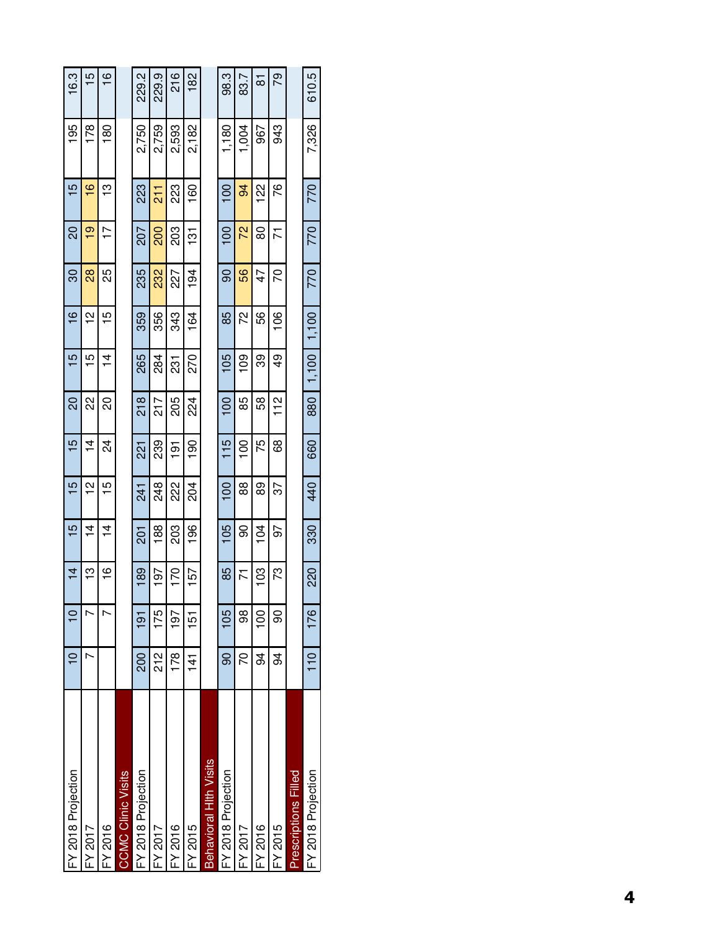| FY 2018 Projection         |                |                | $\vec{4}$     | 15             | 15              | $\overline{5}$ | 20              | 15            | $\tilde{\mathbf{e}}$ | వె            | <u>ន</u>       | <u>ဖ</u>      | 195            | 16.3           |
|----------------------------|----------------|----------------|---------------|----------------|-----------------|----------------|-----------------|---------------|----------------------|---------------|----------------|---------------|----------------|----------------|
| <b>FY 2017</b>             |                |                | ဗု            | $\overline{4}$ | $\frac{1}{2}$   | $\overline{4}$ | 2               | 15            | $\overline{a}$       | $\frac{8}{2}$ | $\overline{9}$ | $\frac{6}{1}$ | 178            | 15             |
| $-4.2016$                  |                |                | $\frac{6}{1}$ | $\frac{1}{4}$  | LO              | 24             | 20              | $\frac{4}{4}$ | 15                   | 25            | ŗ              | ≌             | $\frac{80}{5}$ | $\tilde{=}$    |
| <b>CMC Clinic Visits</b>   |                |                |               |                |                 |                |                 |               |                      |               |                |               |                |                |
| FY 2018 Projection         | <b>200</b>     | $\frac{5}{10}$ | 189           | <u>ក្ត</u>     | $\overline{24}$ | ភ្ន            | $\frac{8}{218}$ | 265           | 359                  | 235           | <b>Z07</b>     | 223           | 2,750          | 229.2          |
| FY 2017                    | 21<br>21       | 175            | 197           | 188            | 248             | 239            | 217             | 284           | 356                  | 232           | 200            | $\frac{1}{2}$ | 2,759          | 229.9          |
| FY 2016                    | 178            | 197            | 170           | 203            | 222             | $\frac{5}{1}$  | 205             | 231           | 343                  | 227           | 203            | 23            | 2,593          | 216            |
| FY 2015                    | $\frac{4}{1}$  | 151            | 157           | 196            | 204             | $\frac{8}{1}$  | 224             | 270           | 164                  | 194           | <u>는</u>       | 160           | 2.182          | $\frac{82}{5}$ |
| Behavioral Hith Visits     |                |                |               |                |                 |                |                 |               |                      |               |                |               |                |                |
| FY 2018 Projection         | 8              | 105            | 85            | $\frac{6}{2}$  | $\overline{0}$  | $\frac{5}{10}$ | $\overline{0}$  | 105           | 85                   | ဓ             | $\overline{0}$ | <u>ទ</u>      | 1,180          | 98.3           |
| FY 2017                    | 20             | 88             | Σ             | 8              | 88              | $\overline{5}$ | 85              | ၜႍ            | 22                   | 56            | 72             | 94            | 1,004          | 83.7           |
| FY 2016                    | 34             | <u>ទី</u>      | <u>ទី</u>     | 104            | 89              | 75             | 58              | တွ            | 56                   | 47            | 80             | $\frac{2}{2}$ | 967            | <u>ಹ</u>       |
| FY 2015                    | 94             | 8              | 73            | 97             | 57              | 89             | $\frac{2}{1}$   | $\frac{1}{2}$ | $\frac{6}{1}$        | 20            | 71             | مح            | 943            | 79             |
| <b>rescriptions Filled</b> |                |                |               |                |                 |                |                 |               |                      |               |                |               |                |                |
| FY 2018 Projection         | $\frac{1}{10}$ | 176            | 220           | 330            | 440             | 660            | 880             | 1,100         | 1,100                | 770           | 770            | 770           | 7,326          | 610.5          |
|                            |                |                |               |                |                 |                |                 |               |                      |               |                |               |                |                |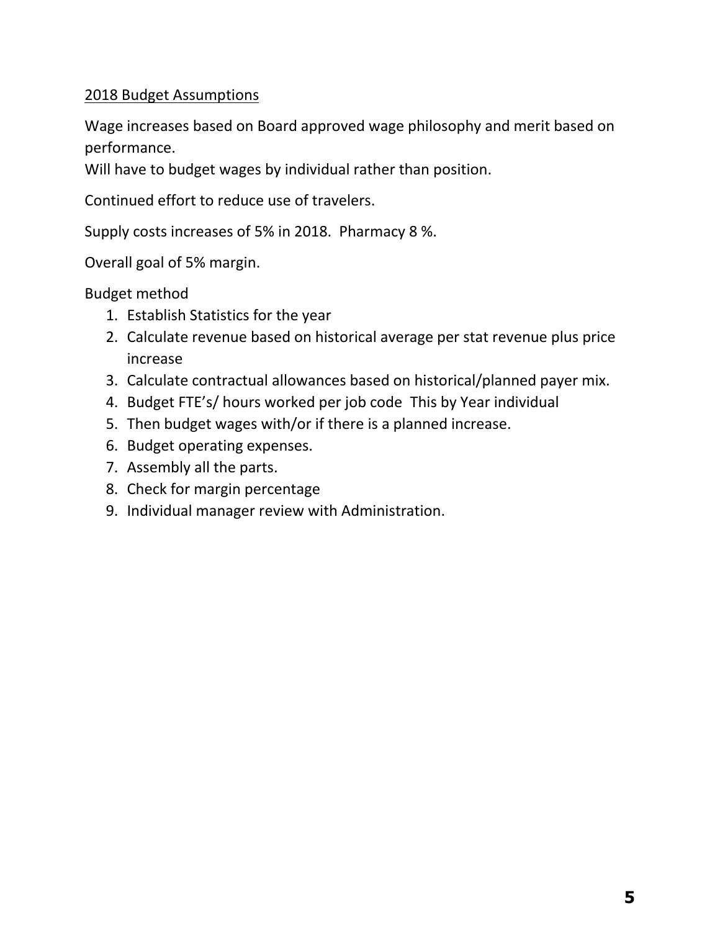# 2018 Budget Assumptions

Wage increases based on Board approved wage philosophy and merit based on performance.

Will have to budget wages by individual rather than position.

Continued effort to reduce use of travelers.

Supply costs increases of 5% in 2018. Pharmacy 8 %.

Overall goal of 5% margin.

Budget method

- 1. Establish Statistics for the year
- 2. Calculate revenue based on historical average per stat revenue plus price increase
- 3. Calculate contractual allowances based on historical/planned payer mix.
- 4. Budget FTE's/ hours worked per job code This by Year individual
- 5. Then budget wages with/or if there is a planned increase.
- 6. Budget operating expenses.
- 7. Assembly all the parts.
- 8. Check for margin percentage
- 9. Individual manager review with Administration.